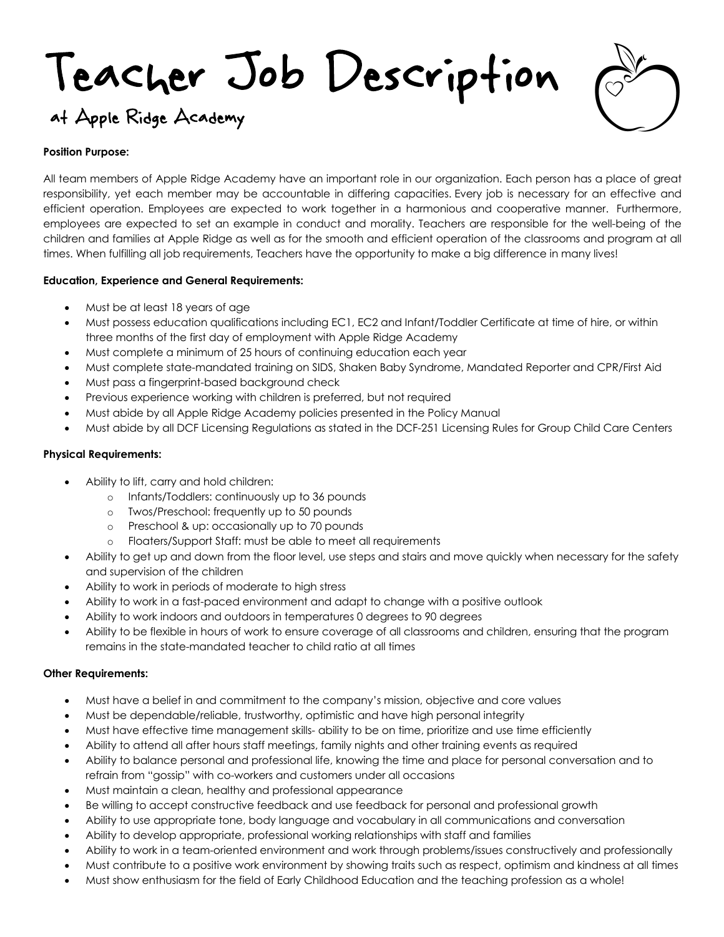# Teacher Job Description at Apple Ridge Academy

## **Position Purpose:**

All team members of Apple Ridge Academy have an important role in our organization. Each person has a place of great responsibility, yet each member may be accountable in differing capacities. Every job is necessary for an effective and efficient operation. Employees are expected to work together in a harmonious and cooperative manner. Furthermore, employees are expected to set an example in conduct and morality. Teachers are responsible for the well-being of the children and families at Apple Ridge as well as for the smooth and efficient operation of the classrooms and program at all times. When fulfilling all job requirements, Teachers have the opportunity to make a big difference in many lives!

# **Education, Experience and General Requirements:**

- Must be at least 18 years of age
- Must possess education qualifications including EC1, EC2 and Infant/Toddler Certificate at time of hire, or within three months of the first day of employment with Apple Ridge Academy
- Must complete a minimum of 25 hours of continuing education each year
- Must complete state-mandated training on SIDS, Shaken Baby Syndrome, Mandated Reporter and CPR/First Aid
- Must pass a fingerprint-based background check
- Previous experience working with children is preferred, but not required
- Must abide by all Apple Ridge Academy policies presented in the Policy Manual
- Must abide by all DCF Licensing Regulations as stated in the DCF-251 Licensing Rules for Group Child Care Centers

# **Physical Requirements:**

- Ability to lift, carry and hold children:
	- o Infants/Toddlers: continuously up to 36 pounds
	- o Twos/Preschool: frequently up to 50 pounds
	- o Preschool & up: occasionally up to 70 pounds
	- o Floaters/Support Staff: must be able to meet all requirements
- Ability to get up and down from the floor level, use steps and stairs and move quickly when necessary for the safety and supervision of the children
- Ability to work in periods of moderate to high stress
- Ability to work in a fast-paced environment and adapt to change with a positive outlook
- Ability to work indoors and outdoors in temperatures 0 degrees to 90 degrees
- Ability to be flexible in hours of work to ensure coverage of all classrooms and children, ensuring that the program remains in the state-mandated teacher to child ratio at all times

### **Other Requirements:**

- Must have a belief in and commitment to the company's mission, objective and core values
- Must be dependable/reliable, trustworthy, optimistic and have high personal integrity
- Must have effective time management skills- ability to be on time, prioritize and use time efficiently
- Ability to attend all after hours staff meetings, family nights and other training events as required
- Ability to balance personal and professional life, knowing the time and place for personal conversation and to refrain from "gossip" with co-workers and customers under all occasions
- Must maintain a clean, healthy and professional appearance
- Be willing to accept constructive feedback and use feedback for personal and professional growth
- Ability to use appropriate tone, body language and vocabulary in all communications and conversation
- Ability to develop appropriate, professional working relationships with staff and families
- Ability to work in a team-oriented environment and work through problems/issues constructively and professionally
- Must contribute to a positive work environment by showing traits such as respect, optimism and kindness at all times
- Must show enthusiasm for the field of Early Childhood Education and the teaching profession as a whole!